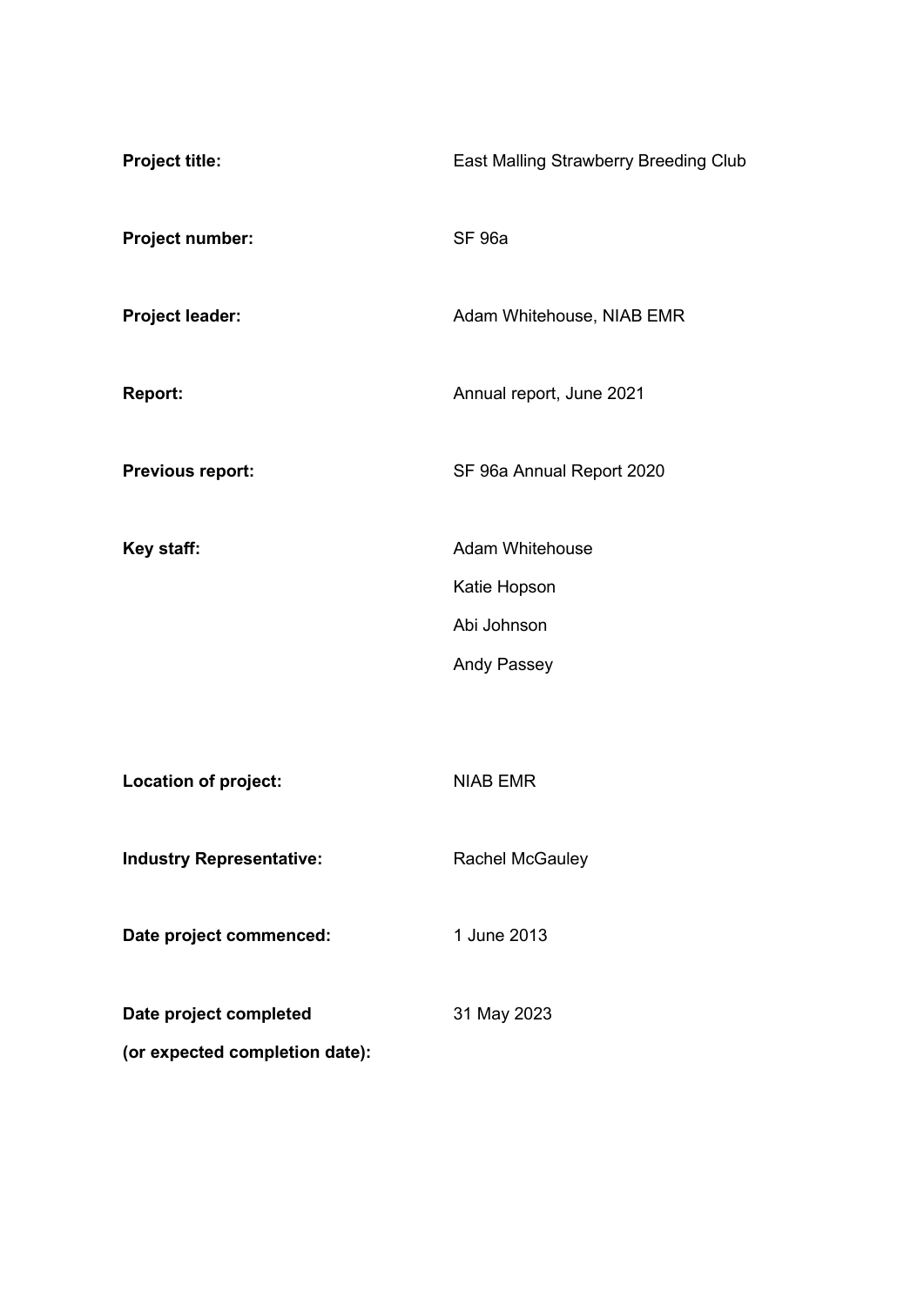| <b>Project title:</b>                                    | East Malling Strawberry Breeding Club                                       |  |  |  |
|----------------------------------------------------------|-----------------------------------------------------------------------------|--|--|--|
| Project number:                                          | <b>SF 96a</b>                                                               |  |  |  |
| Project leader:                                          | Adam Whitehouse, NIAB EMR                                                   |  |  |  |
| <b>Report:</b>                                           | Annual report, June 2021                                                    |  |  |  |
| <b>Previous report:</b>                                  | SF 96a Annual Report 2020                                                   |  |  |  |
| Key staff:                                               | <b>Adam Whitehouse</b><br>Katie Hopson<br>Abi Johnson<br><b>Andy Passey</b> |  |  |  |
| <b>Location of project:</b>                              | <b>NIAB EMR</b>                                                             |  |  |  |
| <b>Industry Representative:</b>                          | <b>Rachel McGauley</b>                                                      |  |  |  |
| Date project commenced:                                  | 1 June 2013                                                                 |  |  |  |
| Date project completed<br>(or expected completion date): | 31 May 2023                                                                 |  |  |  |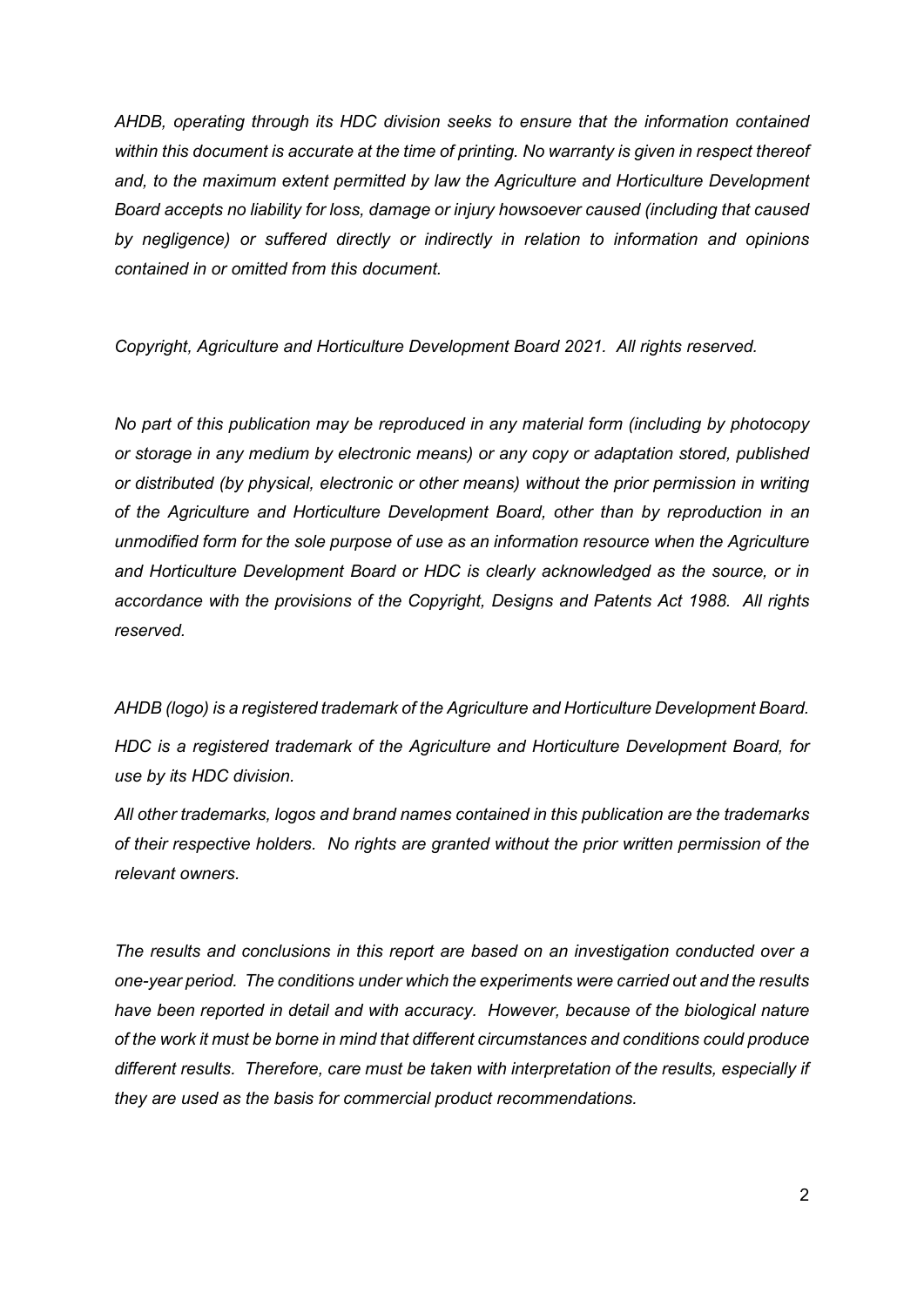*AHDB, operating through its HDC division seeks to ensure that the information contained*  within this document is accurate at the time of printing. No warranty is given in respect thereof *and, to the maximum extent permitted by law the Agriculture and Horticulture Development Board accepts no liability for loss, damage or injury howsoever caused (including that caused by negligence) or suffered directly or indirectly in relation to information and opinions contained in or omitted from this document.* 

*Copyright, Agriculture and Horticulture Development Board 2021. All rights reserved.*

*No part of this publication may be reproduced in any material form (including by photocopy or storage in any medium by electronic means) or any copy or adaptation stored, published or distributed (by physical, electronic or other means) without the prior permission in writing of the Agriculture and Horticulture Development Board, other than by reproduction in an unmodified form for the sole purpose of use as an information resource when the Agriculture and Horticulture Development Board or HDC is clearly acknowledged as the source, or in accordance with the provisions of the Copyright, Designs and Patents Act 1988. All rights reserved.* 

*AHDB (logo) is a registered trademark of the Agriculture and Horticulture Development Board. HDC is a registered trademark of the Agriculture and Horticulture Development Board, for use by its HDC division.*

*All other trademarks, logos and brand names contained in this publication are the trademarks of their respective holders. No rights are granted without the prior written permission of the relevant owners.*

*The results and conclusions in this report are based on an investigation conducted over a one-year period. The conditions under which the experiments were carried out and the results have been reported in detail and with accuracy. However, because of the biological nature of the work it must be borne in mind that different circumstances and conditions could produce different results. Therefore, care must be taken with interpretation of the results, especially if they are used as the basis for commercial product recommendations.*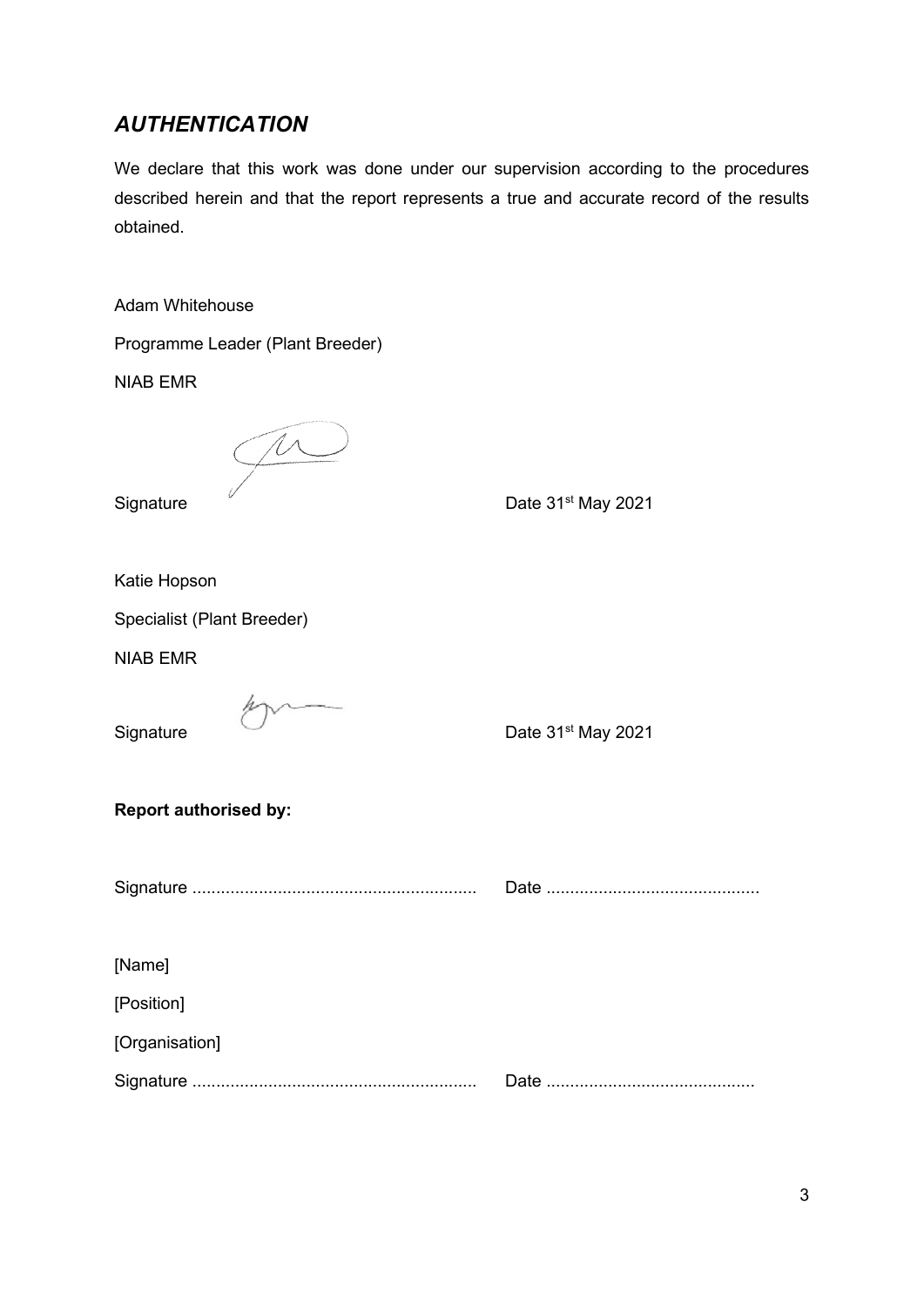# *AUTHENTICATION*

We declare that this work was done under our supervision according to the procedures described herein and that the report represents a true and accurate record of the results obtained.

Adam Whitehouse

Programme Leader (Plant Breeder)

NIAB EMR

 $\widetilde{\mathcal{P}}$ 

Signature  $\frac{1}{2}$  Date 31<sup>st</sup> May 2021

Katie Hopson

Specialist (Plant Breeder)

NIAB EMR

Signature Date 31<sup>st</sup> May 2021

#### **Report authorised by:**

Signature ............................................................ Date .............................................

[Name]

[Position]

[Organisation]

Signature ............................................................ Date ............................................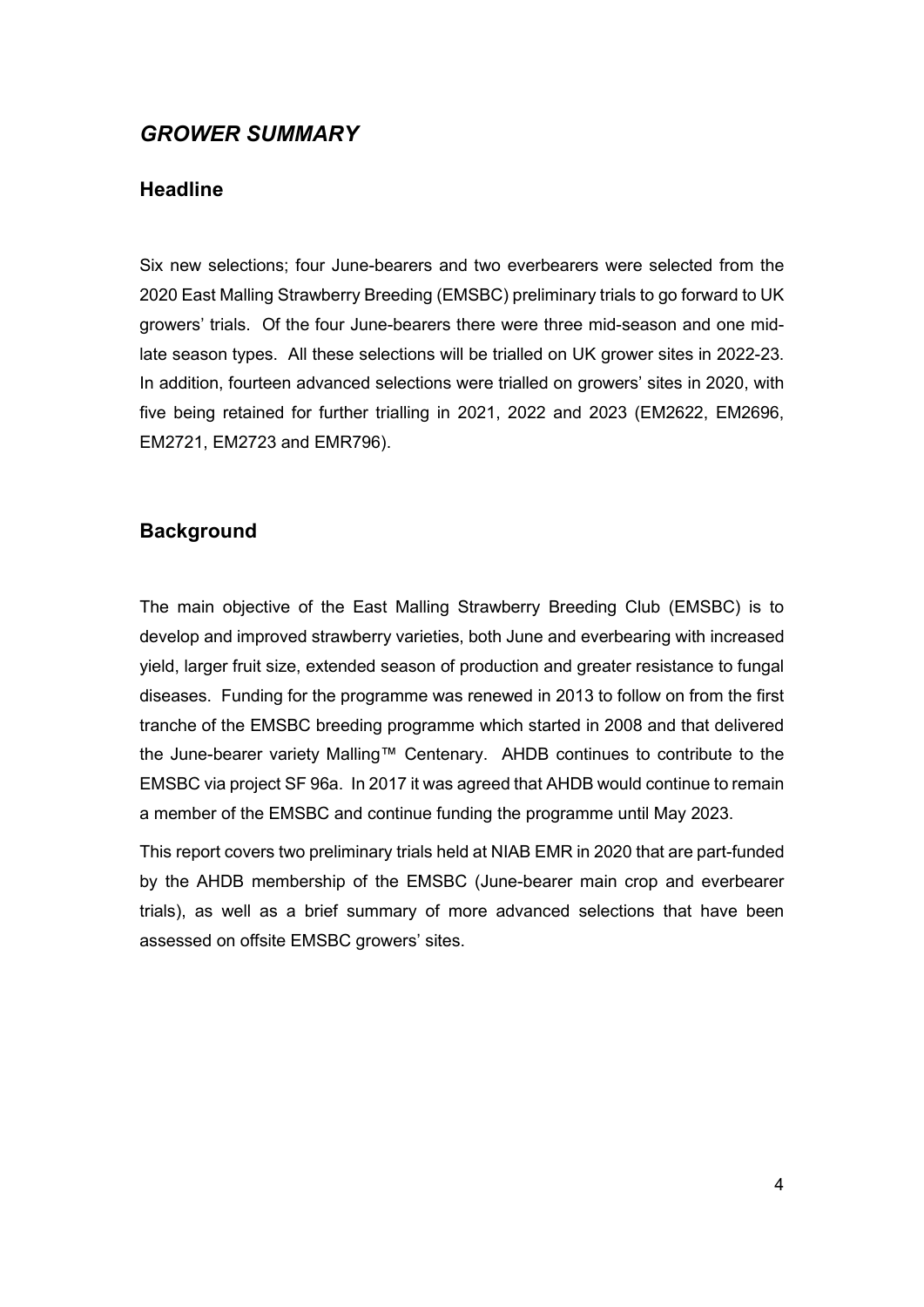# *GROWER SUMMARY*

## **Headline**

Six new selections; four June-bearers and two everbearers were selected from the 2020 East Malling Strawberry Breeding (EMSBC) preliminary trials to go forward to UK growers' trials. Of the four June-bearers there were three mid-season and one midlate season types. All these selections will be trialled on UK grower sites in 2022-23. In addition, fourteen advanced selections were trialled on growers' sites in 2020, with five being retained for further trialling in 2021, 2022 and 2023 (EM2622, EM2696, EM2721, EM2723 and EMR796).

## **Background**

The main objective of the East Malling Strawberry Breeding Club (EMSBC) is to develop and improved strawberry varieties, both June and everbearing with increased yield, larger fruit size, extended season of production and greater resistance to fungal diseases. Funding for the programme was renewed in 2013 to follow on from the first tranche of the EMSBC breeding programme which started in 2008 and that delivered the June-bearer variety Malling™ Centenary. AHDB continues to contribute to the EMSBC via project SF 96a. In 2017 it was agreed that AHDB would continue to remain a member of the EMSBC and continue funding the programme until May 2023.

This report covers two preliminary trials held at NIAB EMR in 2020 that are part-funded by the AHDB membership of the EMSBC (June-bearer main crop and everbearer trials), as well as a brief summary of more advanced selections that have been assessed on offsite EMSBC growers' sites.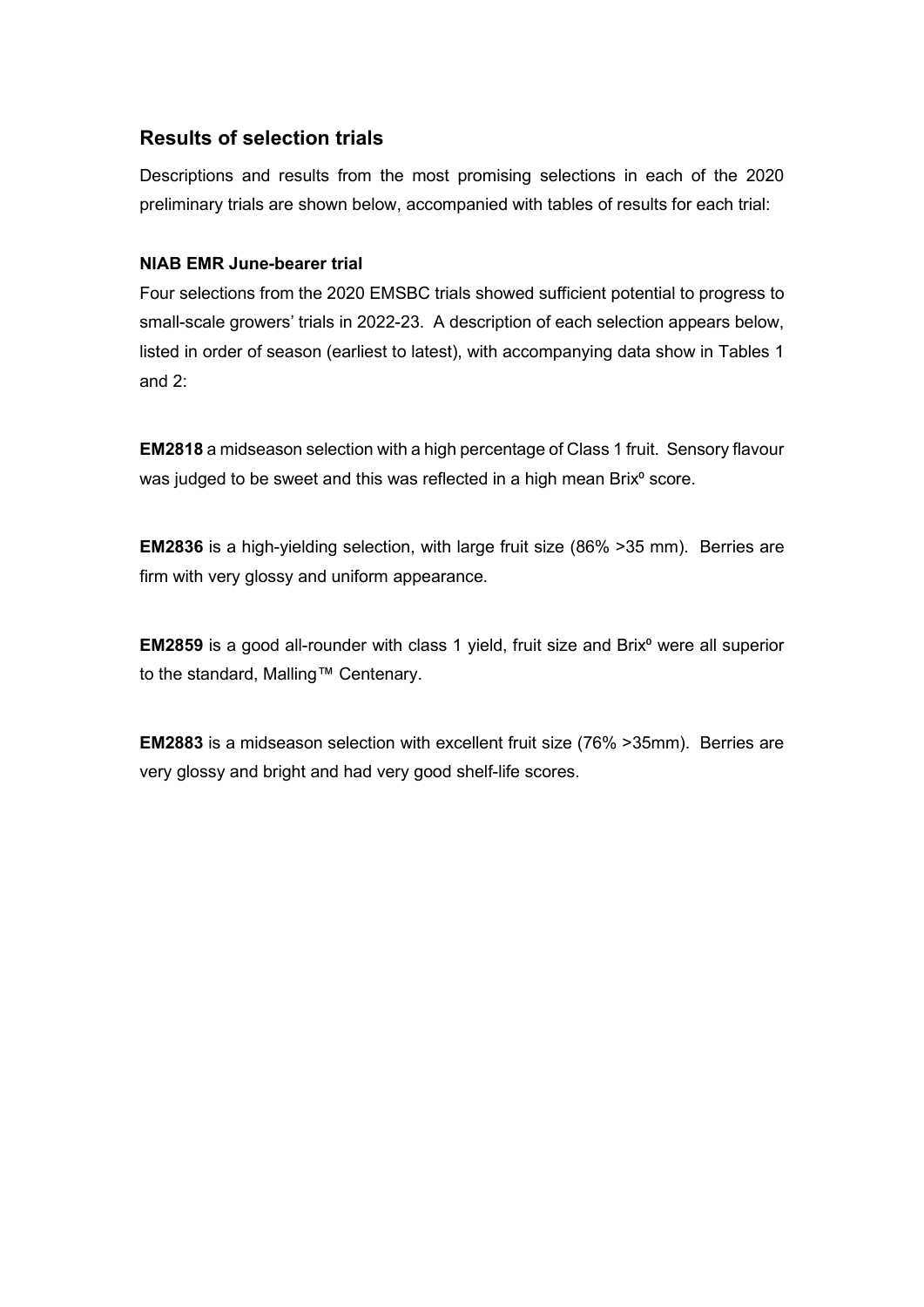# **Results of selection trials**

Descriptions and results from the most promising selections in each of the 2020 preliminary trials are shown below, accompanied with tables of results for each trial:

#### **NIAB EMR June-bearer trial**

Four selections from the 2020 EMSBC trials showed sufficient potential to progress to small-scale growers' trials in 2022-23. A description of each selection appears below, listed in order of season (earliest to latest), with accompanying data show in Tables 1 and 2:

**EM2818** a midseason selection with a high percentage of Class 1 fruit. Sensory flavour was judged to be sweet and this was reflected in a high mean Brix<sup>o</sup> score.

**EM2836** is a high-yielding selection, with large fruit size (86% >35 mm). Berries are firm with very glossy and uniform appearance.

**EM2859** is a good all-rounder with class 1 yield, fruit size and Brix<sup>o</sup> were all superior to the standard, Malling™ Centenary.

**EM2883** is a midseason selection with excellent fruit size (76% >35mm). Berries are very glossy and bright and had very good shelf-life scores.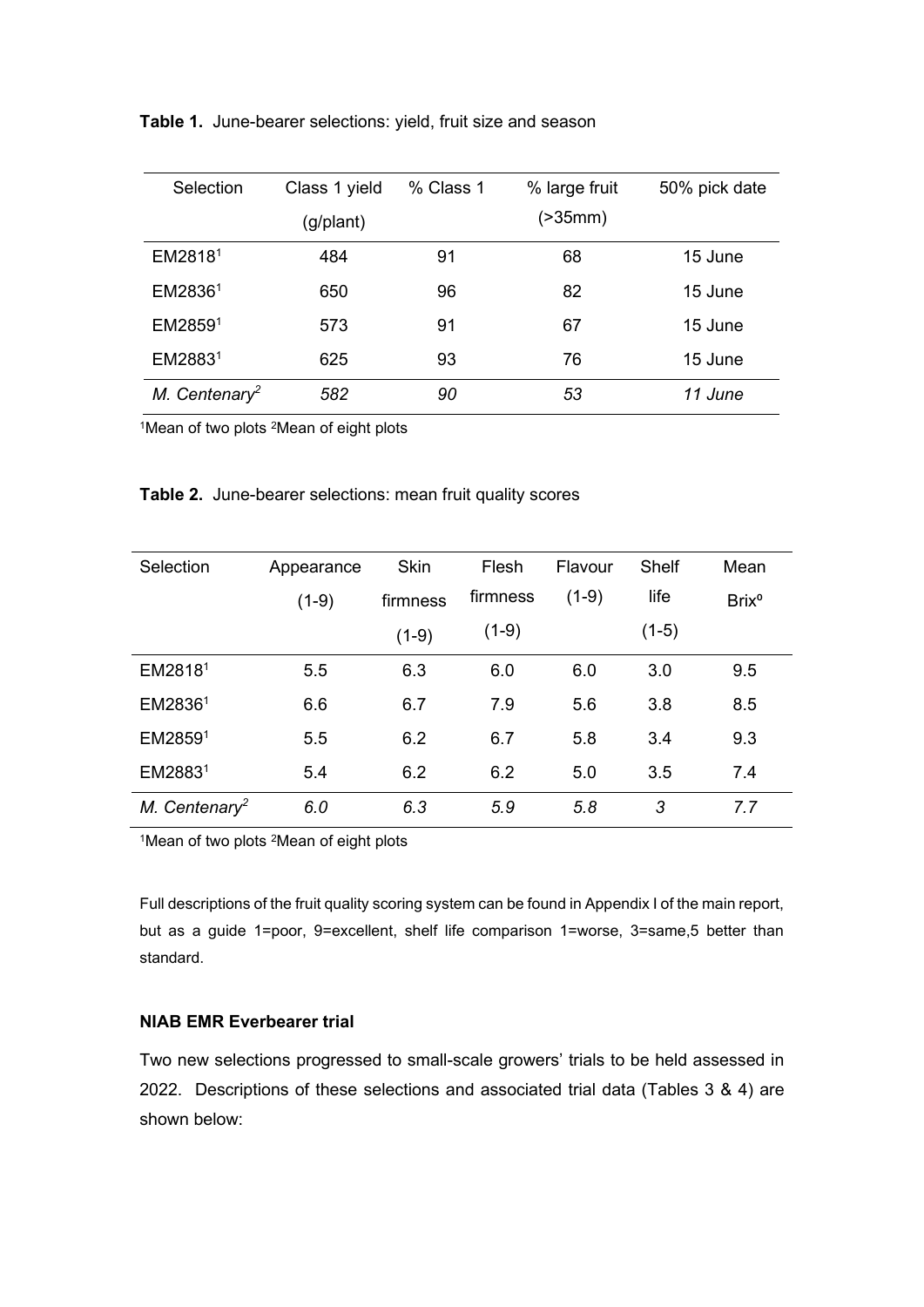| Selection                 | Class 1 yield | % Class 1 | % large fruit | 50% pick date |
|---------------------------|---------------|-----------|---------------|---------------|
|                           | (g/plant)     |           | (>35mm)       |               |
| EM28181                   | 484           | 91        | 68            | 15 June       |
| EM28361                   | 650           | 96        | 82            | 15 June       |
| EM28591                   | 573           | 91        | 67            | 15 June       |
| EM28831                   | 625           | 93        | 76            | 15 June       |
| M. Centenary <sup>2</sup> | 582           | 90        | 53            | 11 June       |

**Table 1.** June-bearer selections: yield, fruit size and season

1Mean of two plots 2Mean of eight plots

| Table 2. June-bearer selections: mean fruit quality scores |  |  |  |  |
|------------------------------------------------------------|--|--|--|--|
|------------------------------------------------------------|--|--|--|--|

| Selection                 | Appearance | <b>Skin</b> | Flesh    | Flavour | Shelf   | Mean              |
|---------------------------|------------|-------------|----------|---------|---------|-------------------|
|                           | $(1-9)$    | firmness    | firmness | $(1-9)$ | life    | Brix <sup>o</sup> |
|                           |            | $(1-9)$     | $(1-9)$  |         | $(1-5)$ |                   |
| EM28181                   | 5.5        | 6.3         | 6.0      | 6.0     | 3.0     | 9.5               |
| EM28361                   | 6.6        | 6.7         | 7.9      | 5.6     | 3.8     | 8.5               |
| EM28591                   | 5.5        | 6.2         | 6.7      | 5.8     | 3.4     | 9.3               |
| EM28831                   | 5.4        | 6.2         | 6.2      | 5.0     | 3.5     | 7.4               |
| M. Centenary <sup>2</sup> | 6.0        | 6.3         | 5.9      | 5.8     | 3       | 7.7               |

1Mean of two plots <sup>2</sup>Mean of eight plots

Full descriptions of the fruit quality scoring system can be found in Appendix I of the main report, but as a guide 1=poor, 9=excellent, shelf life comparison 1=worse, 3=same,5 better than standard.

#### **NIAB EMR Everbearer trial**

Two new selections progressed to small-scale growers' trials to be held assessed in 2022. Descriptions of these selections and associated trial data (Tables 3 & 4) are shown below: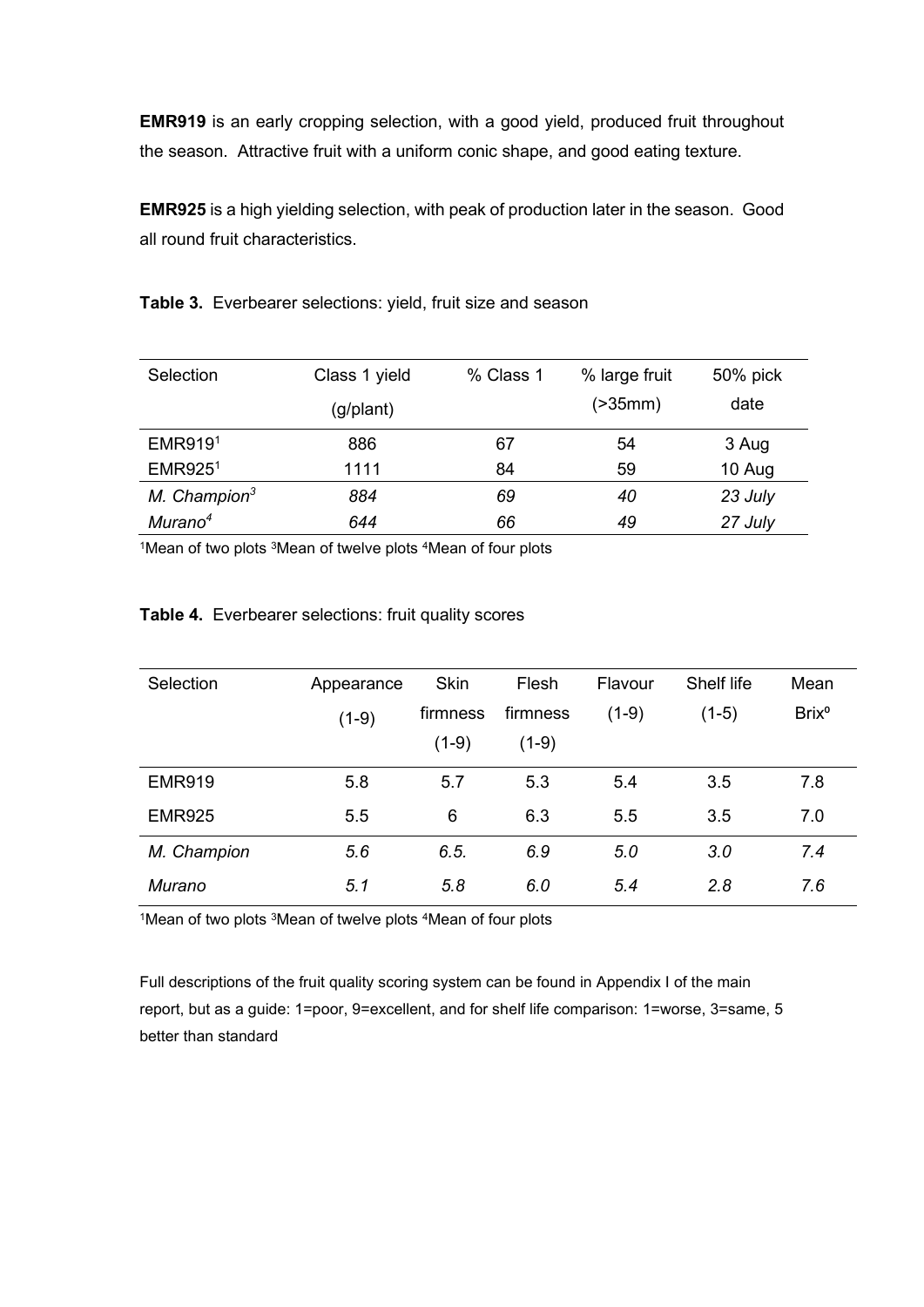**EMR919** is an early cropping selection, with a good yield, produced fruit throughout the season. Attractive fruit with a uniform conic shape, and good eating texture.

**EMR925** is a high yielding selection, with peak of production later in the season. Good all round fruit characteristics.

**Table 3.** Everbearer selections: yield, fruit size and season

| Selection           | Class 1 yield | % Class 1 | % large fruit | 50% pick |
|---------------------|---------------|-----------|---------------|----------|
|                     | (g/plant)     |           | ( > 35mm)     | date     |
| <b>EMR9191</b>      | 886           | 67        | 54            | 3 Aug    |
| EMR925 <sup>1</sup> | 1111          | 84        | 59            | 10 Aug   |
| M. Champion $3$     | 884           | 69        | 40            | 23 July  |
| Murano <sup>4</sup> | 644           | 66        | 49            | 27 July  |

<sup>1</sup>Mean of two plots <sup>3</sup>Mean of twelve plots <sup>4</sup>Mean of four plots

| Selection     | Appearance | <b>Skin</b> | Flesh    | Flavour | Shelf life | Mean              |  |
|---------------|------------|-------------|----------|---------|------------|-------------------|--|
|               | $(1-9)$    | firmness    | firmness | $(1-9)$ | $(1-5)$    | Brix <sup>o</sup> |  |
|               |            | $(1-9)$     | $(1-9)$  |         |            |                   |  |
| <b>EMR919</b> | 5.8        | 5.7         | 5.3      | 5.4     | 3.5        | 7.8               |  |
| <b>EMR925</b> | 5.5        | 6           | 6.3      | 5.5     | 3.5        | 7.0               |  |
| M. Champion   | 5.6        | 6.5.        | 6.9      | 5.0     | 3.0        | 7.4               |  |
| <b>Murano</b> | 5.1        | 5.8         | 6.0      | 5.4     | 2.8        | 7.6               |  |

#### **Table 4.** Everbearer selections: fruit quality scores

1Mean of two plots <sup>3</sup>Mean of twelve plots <sup>4</sup>Mean of four plots

Full descriptions of the fruit quality scoring system can be found in Appendix I of the main report, but as a guide: 1=poor, 9=excellent, and for shelf life comparison: 1=worse, 3=same, 5 better than standard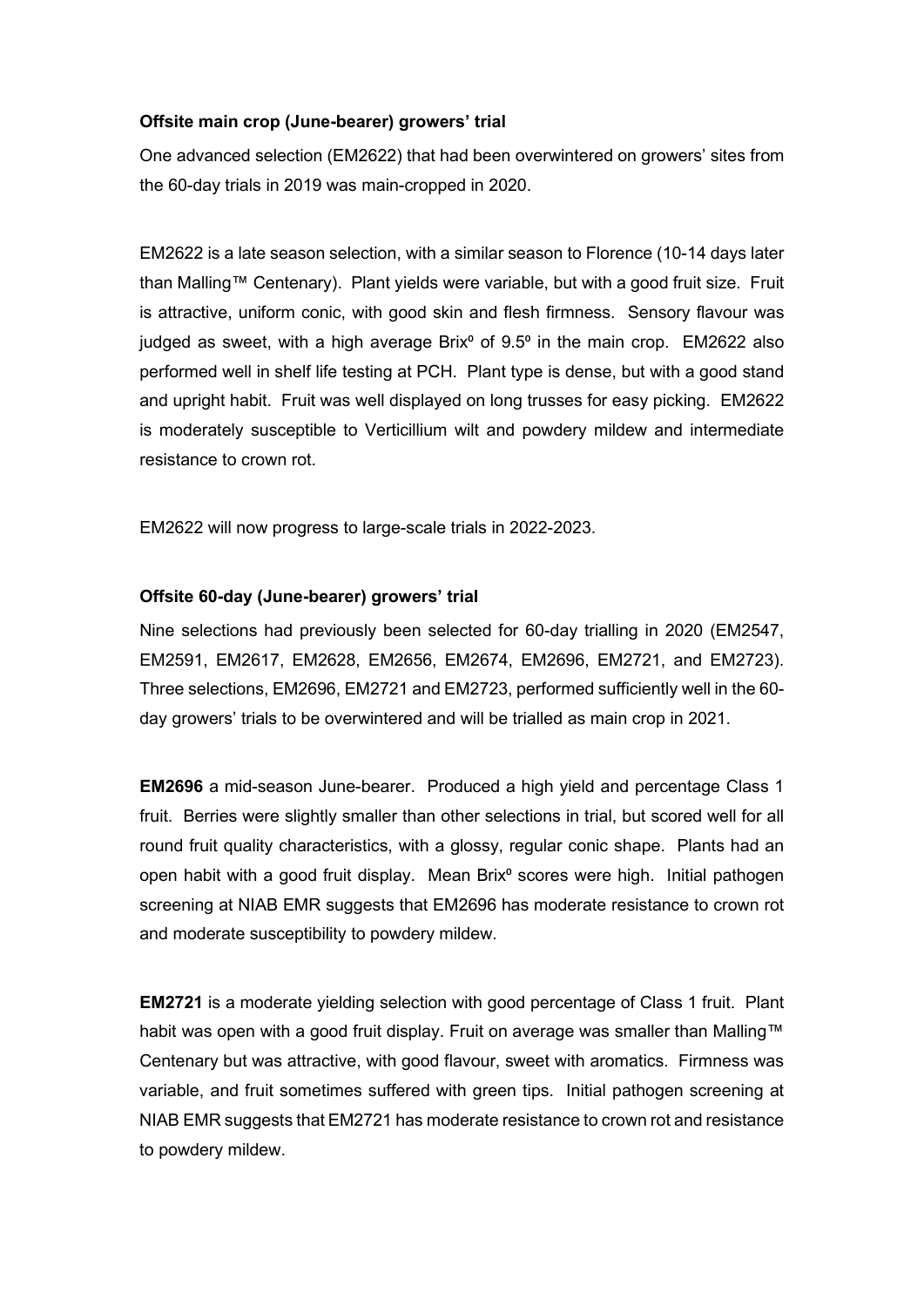#### **Offsite main crop (June-bearer) growers' trial**

One advanced selection (EM2622) that had been overwintered on growers' sites from the 60-day trials in 2019 was main-cropped in 2020.

EM2622 is a late season selection, with a similar season to Florence (10-14 days later than Malling™ Centenary). Plant yields were variable, but with a good fruit size. Fruit is attractive, uniform conic, with good skin and flesh firmness. Sensory flavour was judged as sweet, with a high average Brix $^{\circ}$  of 9.5 $^{\circ}$  in the main crop. EM2622 also performed well in shelf life testing at PCH. Plant type is dense, but with a good stand and upright habit. Fruit was well displayed on long trusses for easy picking. EM2622 is moderately susceptible to Verticillium wilt and powdery mildew and intermediate resistance to crown rot.

EM2622 will now progress to large-scale trials in 2022-2023.

#### **Offsite 60-day (June-bearer) growers' trial**

Nine selections had previously been selected for 60-day trialling in 2020 (EM2547, EM2591, EM2617, EM2628, EM2656, EM2674, EM2696, EM2721, and EM2723). Three selections, EM2696, EM2721 and EM2723, performed sufficiently well in the 60 day growers' trials to be overwintered and will be trialled as main crop in 2021.

**EM2696** a mid-season June-bearer. Produced a high yield and percentage Class 1 fruit. Berries were slightly smaller than other selections in trial, but scored well for all round fruit quality characteristics, with a glossy, regular conic shape. Plants had an open habit with a good fruit display. Mean Brix<sup>o</sup> scores were high. Initial pathogen screening at NIAB EMR suggests that EM2696 has moderate resistance to crown rot and moderate susceptibility to powdery mildew.

**EM2721** is a moderate yielding selection with good percentage of Class 1 fruit. Plant habit was open with a good fruit display. Fruit on average was smaller than Malling™ Centenary but was attractive, with good flavour, sweet with aromatics. Firmness was variable, and fruit sometimes suffered with green tips. Initial pathogen screening at NIAB EMR suggests that EM2721 has moderate resistance to crown rot and resistance to powdery mildew.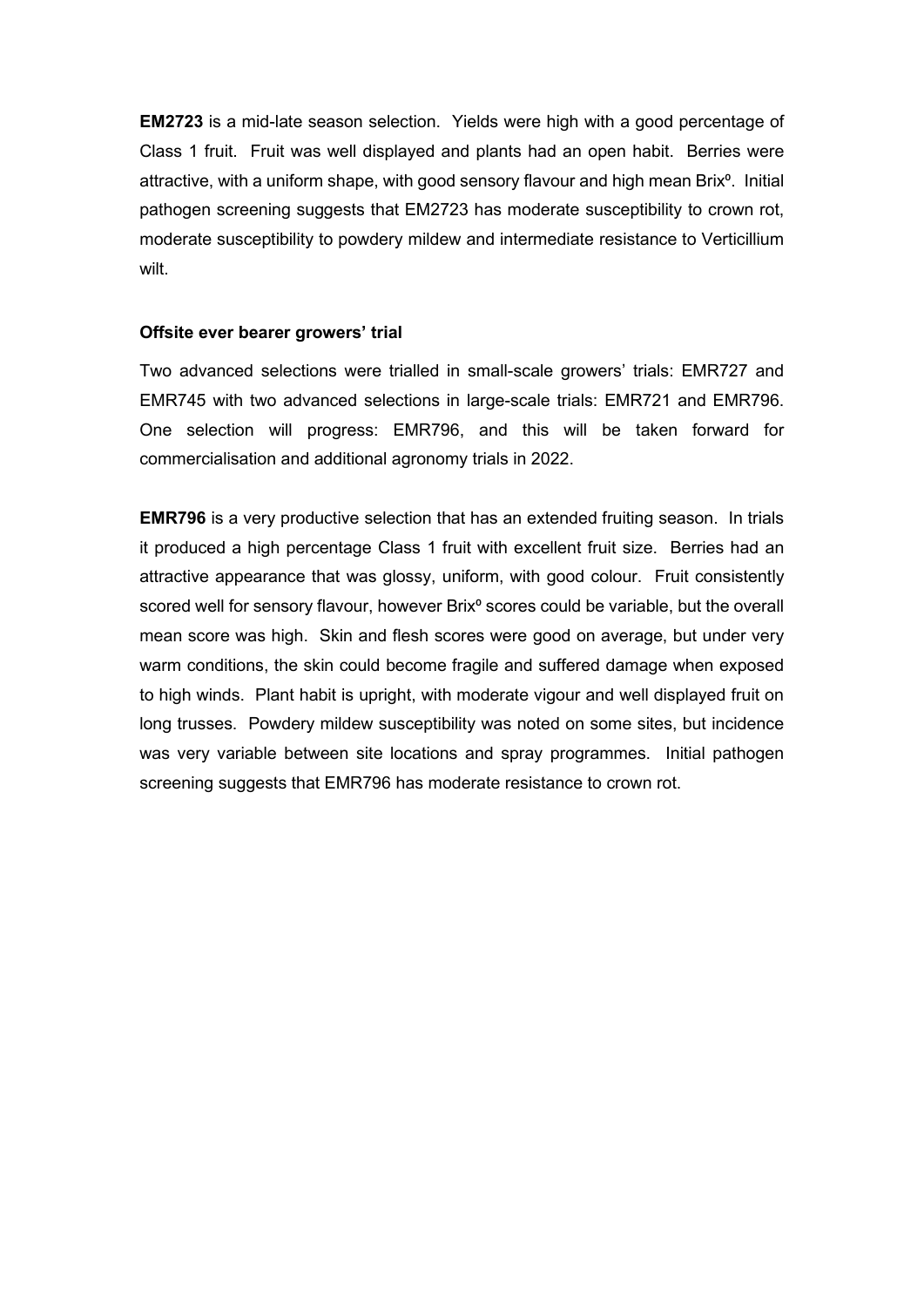**EM2723** is a mid-late season selection. Yields were high with a good percentage of Class 1 fruit. Fruit was well displayed and plants had an open habit. Berries were attractive, with a uniform shape, with good sensory flavour and high mean Brix<sup>o</sup>. Initial pathogen screening suggests that EM2723 has moderate susceptibility to crown rot, moderate susceptibility to powdery mildew and intermediate resistance to Verticillium wilt.

#### **Offsite ever bearer growers' trial**

Two advanced selections were trialled in small-scale growers' trials: EMR727 and EMR745 with two advanced selections in large-scale trials: EMR721 and EMR796. One selection will progress: EMR796, and this will be taken forward for commercialisation and additional agronomy trials in 2022.

**EMR796** is a very productive selection that has an extended fruiting season. In trials it produced a high percentage Class 1 fruit with excellent fruit size. Berries had an attractive appearance that was glossy, uniform, with good colour. Fruit consistently scored well for sensory flavour, however Brix<sup>o</sup> scores could be variable, but the overall mean score was high. Skin and flesh scores were good on average, but under very warm conditions, the skin could become fragile and suffered damage when exposed to high winds. Plant habit is upright, with moderate vigour and well displayed fruit on long trusses. Powdery mildew susceptibility was noted on some sites, but incidence was very variable between site locations and spray programmes. Initial pathogen screening suggests that EMR796 has moderate resistance to crown rot.